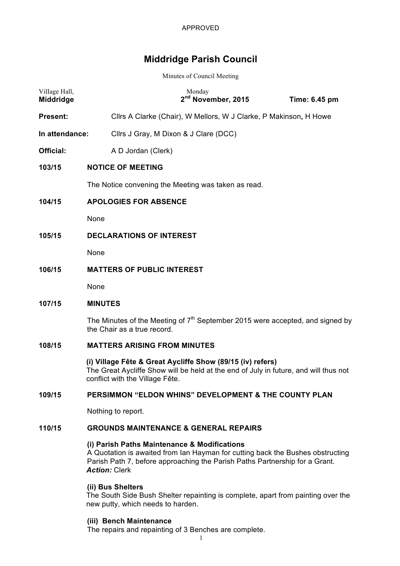# **Middridge Parish Council**

Minutes of Council Meeting

| Village Hall,<br><b>Middridge</b> | Monday                                                                                                                                                                                | 2 <sup>nd</sup> November, 2015 | Time: 6.45 pm |  |
|-----------------------------------|---------------------------------------------------------------------------------------------------------------------------------------------------------------------------------------|--------------------------------|---------------|--|
| <b>Present:</b>                   | Cllrs A Clarke (Chair), W Mellors, W J Clarke, P Makinson, H Howe                                                                                                                     |                                |               |  |
| In attendance:                    | Cllrs J Gray, M Dixon & J Clare (DCC)                                                                                                                                                 |                                |               |  |
| Official:                         | A D Jordan (Clerk)                                                                                                                                                                    |                                |               |  |
| 103/15                            | <b>NOTICE OF MEETING</b>                                                                                                                                                              |                                |               |  |
|                                   | The Notice convening the Meeting was taken as read.                                                                                                                                   |                                |               |  |
| 104/15                            | <b>APOLOGIES FOR ABSENCE</b>                                                                                                                                                          |                                |               |  |
|                                   | None                                                                                                                                                                                  |                                |               |  |
| 105/15                            | <b>DECLARATIONS OF INTEREST</b>                                                                                                                                                       |                                |               |  |
|                                   | None                                                                                                                                                                                  |                                |               |  |
| 106/15                            | <b>MATTERS OF PUBLIC INTEREST</b>                                                                                                                                                     |                                |               |  |
|                                   | None                                                                                                                                                                                  |                                |               |  |
| 107/15                            | <b>MINUTES</b>                                                                                                                                                                        |                                |               |  |
|                                   | The Minutes of the Meeting of $7th$ September 2015 were accepted, and signed by<br>the Chair as a true record.                                                                        |                                |               |  |
| 108/15                            | <b>MATTERS ARISING FROM MINUTES</b>                                                                                                                                                   |                                |               |  |
|                                   | (i) Village Fête & Great Aycliffe Show (89/15 (iv) refers)<br>The Great Aycliffe Show will be held at the end of July in future, and will thus not<br>conflict with the Village Fête. |                                |               |  |
| 109/15                            | PERSIMMON "ELDON WHINS" DEVELOPMENT & THE COUNTY PLAN                                                                                                                                 |                                |               |  |

Nothing to report.

## **110/15 GROUNDS MAINTENANCE & GENERAL REPAIRS**

## **(i) Parish Paths Maintenance & Modifications**

A Quotation is awaited from Ian Hayman for cutting back the Bushes obstructing Parish Path 7, before approaching the Parish Paths Partnership for a Grant. *Action:* Clerk

## **(ii) Bus Shelters**

The South Side Bush Shelter repainting is complete, apart from painting over the new putty, which needs to harden.

## **(iii) Bench Maintenance**

The repairs and repainting of 3 Benches are complete.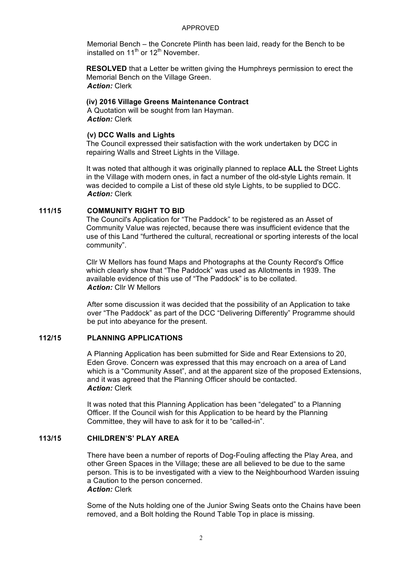#### APPROVED

Memorial Bench – the Concrete Plinth has been laid, ready for the Bench to be installed on  $11^{th}$  or  $12^{th}$  November.

**RESOLVED** that a Letter be written giving the Humphreys permission to erect the Memorial Bench on the Village Green. *Action:* Clerk

### **(iv) 2016 Village Greens Maintenance Contract**

A Quotation will be sought from Ian Hayman. *Action:* Clerk

### **(v) DCC Walls and Lights**

The Council expressed their satisfaction with the work undertaken by DCC in repairing Walls and Street Lights in the Village.

It was noted that although it was originally planned to replace **ALL** the Street Lights in the Village with modern ones, in fact a number of the old-style Lights remain. It was decided to compile a List of these old style Lights, to be supplied to DCC. *Action:* Clerk

## **111/15 COMMUNITY RIGHT TO BID**

The Council's Application for "The Paddock" to be registered as an Asset of Community Value was rejected, because there was insufficient evidence that the use of this Land "furthered the cultural, recreational or sporting interests of the local community".

Cllr W Mellors has found Maps and Photographs at the County Record's Office which clearly show that "The Paddock" was used as Allotments in 1939. The available evidence of this use of "The Paddock" is to be collated. *Action:* Cllr W Mellors

After some discussion it was decided that the possibility of an Application to take over "The Paddock" as part of the DCC "Delivering Differently" Programme should be put into abeyance for the present.

## **112/15 PLANNING APPLICATIONS**

A Planning Application has been submitted for Side and Rear Extensions to 20, Eden Grove. Concern was expressed that this may encroach on a area of Land which is a "Community Asset", and at the apparent size of the proposed Extensions, and it was agreed that the Planning Officer should be contacted. *Action:* Clerk

It was noted that this Planning Application has been "delegated" to a Planning Officer. If the Council wish for this Application to be heard by the Planning Committee, they will have to ask for it to be "called-in".

## **113/15 CHILDREN'S' PLAY AREA**

There have been a number of reports of Dog-Fouling affecting the Play Area, and other Green Spaces in the Village; these are all believed to be due to the same person. This is to be investigated with a view to the Neighbourhood Warden issuing a Caution to the person concerned. *Action:* Clerk

Some of the Nuts holding one of the Junior Swing Seats onto the Chains have been removed, and a Bolt holding the Round Table Top in place is missing.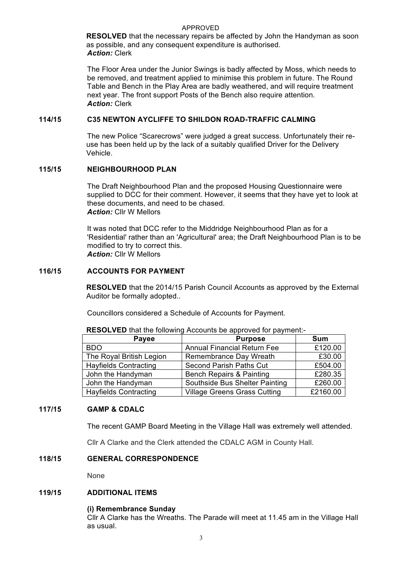#### APPROVED

**RESOLVED** that the necessary repairs be affected by John the Handyman as soon as possible, and any consequent expenditure is authorised. *Action:* Clerk

The Floor Area under the Junior Swings is badly affected by Moss, which needs to be removed, and treatment applied to minimise this problem in future. The Round Table and Bench in the Play Area are badly weathered, and will require treatment next year. The front support Posts of the Bench also require attention. *Action:* Clerk

## **114/15 C35 NEWTON AYCLIFFE TO SHILDON ROAD-TRAFFIC CALMING**

The new Police "Scarecrows" were judged a great success. Unfortunately their reuse has been held up by the lack of a suitably qualified Driver for the Delivery Vehicle.

### **115/15 NEIGHBOURHOOD PLAN**

The Draft Neighbourhood Plan and the proposed Housing Questionnaire were supplied to DCC for their comment. However, it seems that they have yet to look at these documents, and need to be chased. *Action:* Cllr W Mellors

It was noted that DCC refer to the Middridge Neighbourhood Plan as for a 'Residential' rather than an 'Agricultural' area; the Draft Neighbourhood Plan is to be modified to try to correct this. *Action:* Cllr W Mellors

### **116/15 ACCOUNTS FOR PAYMENT**

**RESOLVED** that the 2014/15 Parish Council Accounts as approved by the External Auditor be formally adopted..

Councillors considered a Schedule of Accounts for Payment.

| Payee                        | <b>Purpose</b>                      | <b>Sum</b> |
|------------------------------|-------------------------------------|------------|
| <b>BDO</b>                   | <b>Annual Financial Return Fee</b>  | £120.00    |
| The Royal British Legion     | Remembrance Day Wreath              | £30.00     |
| <b>Hayfields Contracting</b> | <b>Second Parish Paths Cut</b>      | £504.00    |
| John the Handyman            | <b>Bench Repairs &amp; Painting</b> | £280.35    |
| John the Handyman            | Southside Bus Shelter Painting      | £260.00    |
| <b>Hayfields Contracting</b> | <b>Village Greens Grass Cutting</b> | £2160.00   |

**RESOLVED** that the following Accounts be approved for payment:-

#### **117/15 GAMP & CDALC**

The recent GAMP Board Meeting in the Village Hall was extremely well attended.

Cllr A Clarke and the Clerk attended the CDALC AGM in County Hall.

### **118/15 GENERAL CORRESPONDENCE**

None

#### **119/15 ADDITIONAL ITEMS**

#### **(i) Remembrance Sunday**

Cllr A Clarke has the Wreaths. The Parade will meet at 11.45 am in the Village Hall as usual.